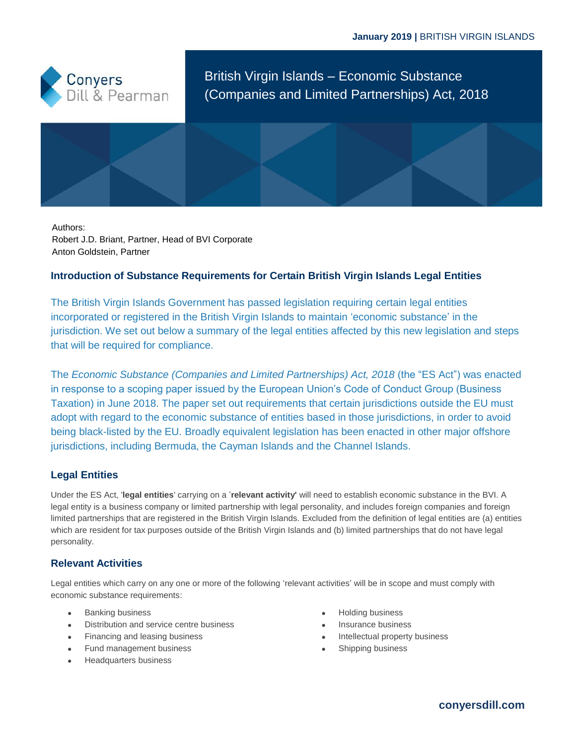

British Virgin Islands – Economic Substance (Companies and Limited Partnerships) Act, 2018

Authors: Robert J.D. Briant, Partner, Head of BVI Corporate Anton Goldstein, Partner

# **Introduction of Substance Requirements for Certain British Virgin Islands Legal Entities**

The British Virgin Islands Government has passed legislation requiring certain legal entities incorporated or registered in the British Virgin Islands to maintain 'economic substance' in the jurisdiction. We set out below a summary of the legal entities affected by this new legislation and steps that will be required for compliance.

The *Economic Substance (Companies and Limited Partnerships) Act, 2018* (the "ES Act") was enacted in response to a scoping paper issued by the European Union's Code of Conduct Group (Business Taxation) in June 2018. The paper set out requirements that certain jurisdictions outside the EU must adopt with regard to the economic substance of entities based in those jurisdictions, in order to avoid being black-listed by the EU. Broadly equivalent legislation has been enacted in other major offshore jurisdictions, including Bermuda, the Cayman Islands and the Channel Islands.

# **Legal Entities**

Under the ES Act, '**legal entities**' carrying on a '**relevant activity'** will need to establish economic substance in the BVI. A legal entity is a business company or limited partnership with legal personality, and includes foreign companies and foreign limited partnerships that are registered in the British Virgin Islands. Excluded from the definition of legal entities are (a) entities which are resident for tax purposes outside of the British Virgin Islands and (b) limited partnerships that do not have legal personality.

# **Relevant Activities**

Legal entities which carry on any one or more of the following 'relevant activities' will be in scope and must comply with economic substance requirements:

- Banking business
- Distribution and service centre business
- Financing and leasing business
- Fund management business
- Headquarters business
- Holding business
- Insurance business
- Intellectual property business
- Shipping business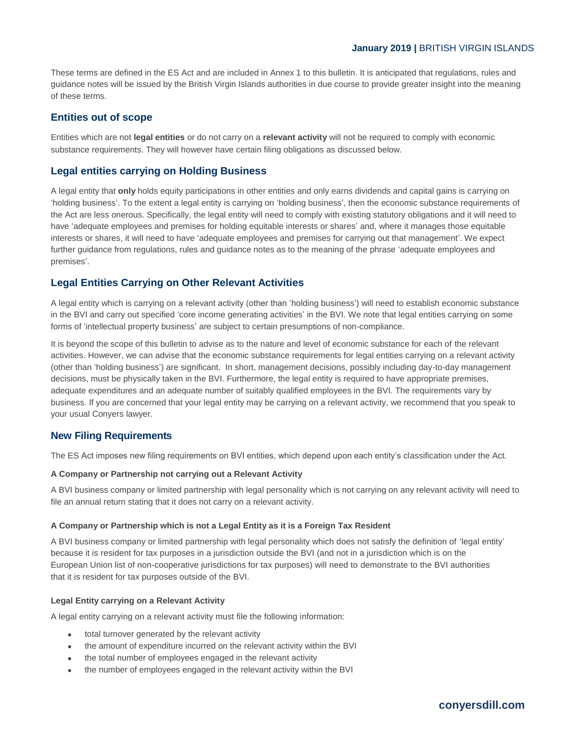These terms are defined in the ES Act and are included in Annex 1 to this bulletin. It is anticipated that regulations, rules and guidance notes will be issued by the British Virgin Islands authorities in due course to provide greater insight into the meaning of these terms.

## **Entities out of scope**

Entities which are not **legal entities** or do not carry on a **relevant activity** will not be required to comply with economic substance requirements. They will however have certain filing obligations as discussed below.

# **Legal entities carrying on Holding Business**

A legal entity that **only** holds equity participations in other entities and only earns dividends and capital gains is carrying on 'holding business'. To the extent a legal entity is carrying on 'holding business', then the economic substance requirements of the Act are less onerous. Specifically, the legal entity will need to comply with existing statutory obligations and it will need to have 'adequate employees and premises for holding equitable interests or shares' and, where it manages those equitable interests or shares, it will need to have 'adequate employees and premises for carrying out that management'. We expect further guidance from regulations, rules and guidance notes as to the meaning of the phrase 'adequate employees and premises'.

# **Legal Entities Carrying on Other Relevant Activities**

A legal entity which is carrying on a relevant activity (other than 'holding business') will need to establish economic substance in the BVI and carry out specified 'core income generating activities' in the BVI. We note that legal entities carrying on some forms of 'intellectual property business' are subject to certain presumptions of non-compliance.

It is beyond the scope of this bulletin to advise as to the nature and level of economic substance for each of the relevant activities. However, we can advise that the economic substance requirements for legal entities carrying on a relevant activity (other than 'holding business') are significant. In short, management decisions, possibly including day-to-day management decisions, must be physically taken in the BVI. Furthermore, the legal entity is required to have appropriate premises, adequate expenditures and an adequate number of suitably qualified employees in the BVI. The requirements vary by business. If you are concerned that your legal entity may be carrying on a relevant activity, we recommend that you speak to your usual Conyers lawyer.

### **New Filing Requirements**

The ES Act imposes new filing requirements on BVI entities, which depend upon each entity's classification under the Act.

#### **A Company or Partnership not carrying out a Relevant Activity**

A BVI business company or limited partnership with legal personality which is not carrying on any relevant activity will need to file an annual return stating that it does not carry on a relevant activity.

#### **A Company or Partnership which is not a Legal Entity as it is a Foreign Tax Resident**

A BVI business company or limited partnership with legal personality which does not satisfy the definition of 'legal entity' because it is resident for tax purposes in a jurisdiction outside the BVI (and not in a jurisdiction which is on the European Union list of non-cooperative jurisdictions for tax purposes) will need to demonstrate to the BVI authorities that it is resident for tax purposes outside of the BVI.

#### **Legal Entity carrying on a Relevant Activity**

A legal entity carrying on a relevant activity must file the following information:

- total turnover generated by the relevant activity
- the amount of expenditure incurred on the relevant activity within the BVI
- the total number of employees engaged in the relevant activity
- the number of employees engaged in the relevant activity within the BVI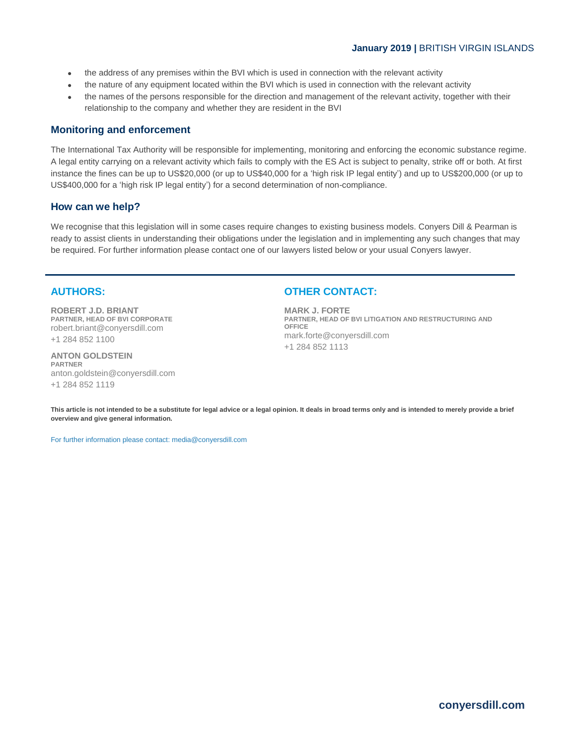- the address of any premises within the BVI which is used in connection with the relevant activity
- the nature of any equipment located within the BVI which is used in connection with the relevant activity
- the names of the persons responsible for the direction and management of the relevant activity, together with their relationship to the company and whether they are resident in the BVI

# **Monitoring and enforcement**

The International Tax Authority will be responsible for implementing, monitoring and enforcing the economic substance regime. A legal entity carrying on a relevant activity which fails to comply with the ES Act is subject to penalty, strike off or both. At first instance the fines can be up to US\$20,000 (or up to US\$40,000 for a 'high risk IP legal entity') and up to US\$200,000 (or up to US\$400,000 for a 'high risk IP legal entity') for a second determination of non-compliance.

## **How can we help?**

We recognise that this legislation will in some cases require changes to existing business models. Conyers Dill & Pearman is ready to assist clients in understanding their obligations under the legislation and in implementing any such changes that may be required. For further information please contact one of our lawyers listed below or your usual Conyers lawyer.

## **AUTHORS:**

**ROBERT J.D. BRIANT PARTNER, HEAD OF BVI CORPORATE** robert.briant@conyersdill.com +1 284 852 1100

**ANTON GOLDSTEIN PARTNER** anton.goldstein@conyersdill.com +1 284 852 1119

# **OTHER CONTACT:**

**MARK J. FORTE PARTNER, HEAD OF BVI LITIGATION AND RESTRUCTURING AND OFFICE** mark.forte@conyersdill.com +1 284 852 1113

**This article is not intended to be a substitute for legal advice or a legal opinion. It deals in broad terms only and is intended to merely provide a brief overview and give general information.**

For further information please contact: media@conyersdill.com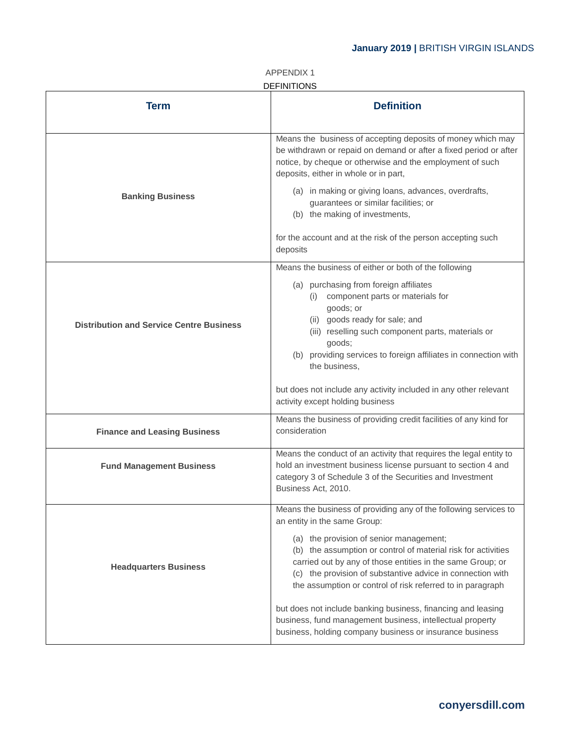| <b>APPENDIX1</b>   |
|--------------------|
| <b>DEFINITIONS</b> |

| <b>Term</b>                                     | <b>Definition</b>                                                                                                                                                                                                                                                                                  |
|-------------------------------------------------|----------------------------------------------------------------------------------------------------------------------------------------------------------------------------------------------------------------------------------------------------------------------------------------------------|
|                                                 | Means the business of accepting deposits of money which may<br>be withdrawn or repaid on demand or after a fixed period or after<br>notice, by cheque or otherwise and the employment of such<br>deposits, either in whole or in part,                                                             |
| <b>Banking Business</b>                         | (a) in making or giving loans, advances, overdrafts,<br>guarantees or similar facilities; or<br>(b) the making of investments,                                                                                                                                                                     |
|                                                 | for the account and at the risk of the person accepting such<br>deposits                                                                                                                                                                                                                           |
|                                                 | Means the business of either or both of the following                                                                                                                                                                                                                                              |
|                                                 | (a) purchasing from foreign affiliates<br>(i) component parts or materials for<br>goods; or<br>(ii) goods ready for sale; and                                                                                                                                                                      |
| <b>Distribution and Service Centre Business</b> | (iii) reselling such component parts, materials or                                                                                                                                                                                                                                                 |
|                                                 | goods;                                                                                                                                                                                                                                                                                             |
|                                                 | (b) providing services to foreign affiliates in connection with<br>the business,                                                                                                                                                                                                                   |
|                                                 | but does not include any activity included in any other relevant<br>activity except holding business                                                                                                                                                                                               |
| <b>Finance and Leasing Business</b>             | Means the business of providing credit facilities of any kind for<br>consideration                                                                                                                                                                                                                 |
| <b>Fund Management Business</b>                 | Means the conduct of an activity that requires the legal entity to<br>hold an investment business license pursuant to section 4 and<br>category 3 of Schedule 3 of the Securities and Investment<br>Business Act, 2010.                                                                            |
|                                                 | Means the business of providing any of the following services to<br>an entity in the same Group:                                                                                                                                                                                                   |
| <b>Headquarters Business</b>                    | (a) the provision of senior management;<br>(b) the assumption or control of material risk for activities<br>carried out by any of those entities in the same Group; or<br>(c) the provision of substantive advice in connection with<br>the assumption or control of risk referred to in paragraph |
|                                                 | but does not include banking business, financing and leasing<br>business, fund management business, intellectual property<br>business, holding company business or insurance business                                                                                                              |